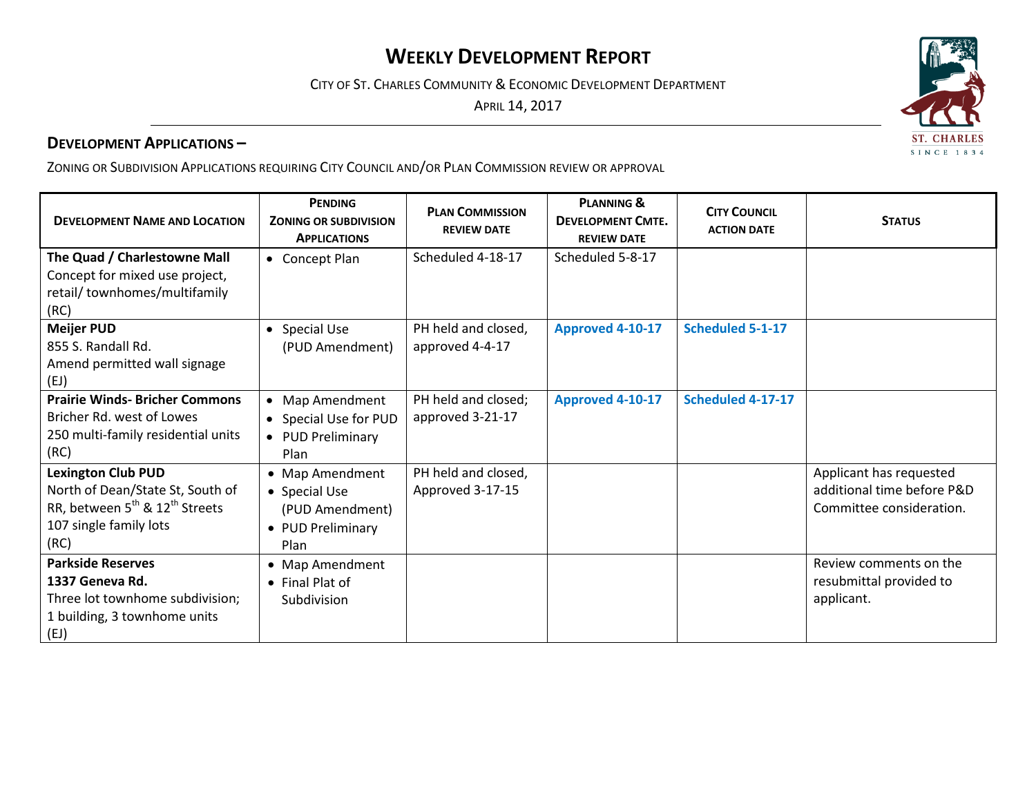# **WEEKLY DEVELOPMENT REPORT**

CITY OF ST. CHARLES COMMUNITY & ECONOMIC DEVELOPMENT DEPARTMENT

APRIL 14, 2017

## **DEVELOPMENT APPLICATIONS –**

ZONING OR SUBDIVISION APPLICATIONS REQUIRING CITY COUNCIL AND/OR PLAN COMMISSION REVIEW OR APPROVAL

| <b>DEVELOPMENT NAME AND LOCATION</b>                                                                                                                      | <b>PENDING</b><br><b>ZONING OR SUBDIVISION</b><br><b>APPLICATIONS</b>            | <b>PLAN COMMISSION</b><br><b>REVIEW DATE</b> | <b>PLANNING &amp;</b><br><b>DEVELOPMENT CMTE.</b><br><b>REVIEW DATE</b> | <b>CITY COUNCIL</b><br><b>ACTION DATE</b> | <b>STATUS</b>                                                                     |
|-----------------------------------------------------------------------------------------------------------------------------------------------------------|----------------------------------------------------------------------------------|----------------------------------------------|-------------------------------------------------------------------------|-------------------------------------------|-----------------------------------------------------------------------------------|
| The Quad / Charlestowne Mall<br>Concept for mixed use project,<br>retail/ townhomes/multifamily<br>(RC)                                                   | • Concept Plan                                                                   | Scheduled 4-18-17                            | Scheduled 5-8-17                                                        |                                           |                                                                                   |
| <b>Meijer PUD</b><br>855 S. Randall Rd.<br>Amend permitted wall signage<br>(EJ)                                                                           | <b>Special Use</b><br>$\bullet$<br>(PUD Amendment)                               | PH held and closed,<br>approved 4-4-17       | Approved 4-10-17                                                        | <b>Scheduled 5-1-17</b>                   |                                                                                   |
| <b>Prairie Winds- Bricher Commons</b><br>Bricher Rd. west of Lowes<br>250 multi-family residential units<br>(RC)                                          | • Map Amendment<br>• Special Use for PUD<br>• PUD Preliminary<br>Plan            | PH held and closed;<br>approved 3-21-17      | Approved 4-10-17                                                        | Scheduled 4-17-17                         |                                                                                   |
| <b>Lexington Club PUD</b><br>North of Dean/State St, South of<br>RR, between 5 <sup>th</sup> & 12 <sup>th</sup> Streets<br>107 single family lots<br>(RC) | • Map Amendment<br>• Special Use<br>(PUD Amendment)<br>• PUD Preliminary<br>Plan | PH held and closed,<br>Approved 3-17-15      |                                                                         |                                           | Applicant has requested<br>additional time before P&D<br>Committee consideration. |
| <b>Parkside Reserves</b><br>1337 Geneva Rd.<br>Three lot townhome subdivision;<br>1 building, 3 townhome units<br>(EJ)                                    | • Map Amendment<br>• Final Plat of<br>Subdivision                                |                                              |                                                                         |                                           | Review comments on the<br>resubmittal provided to<br>applicant.                   |

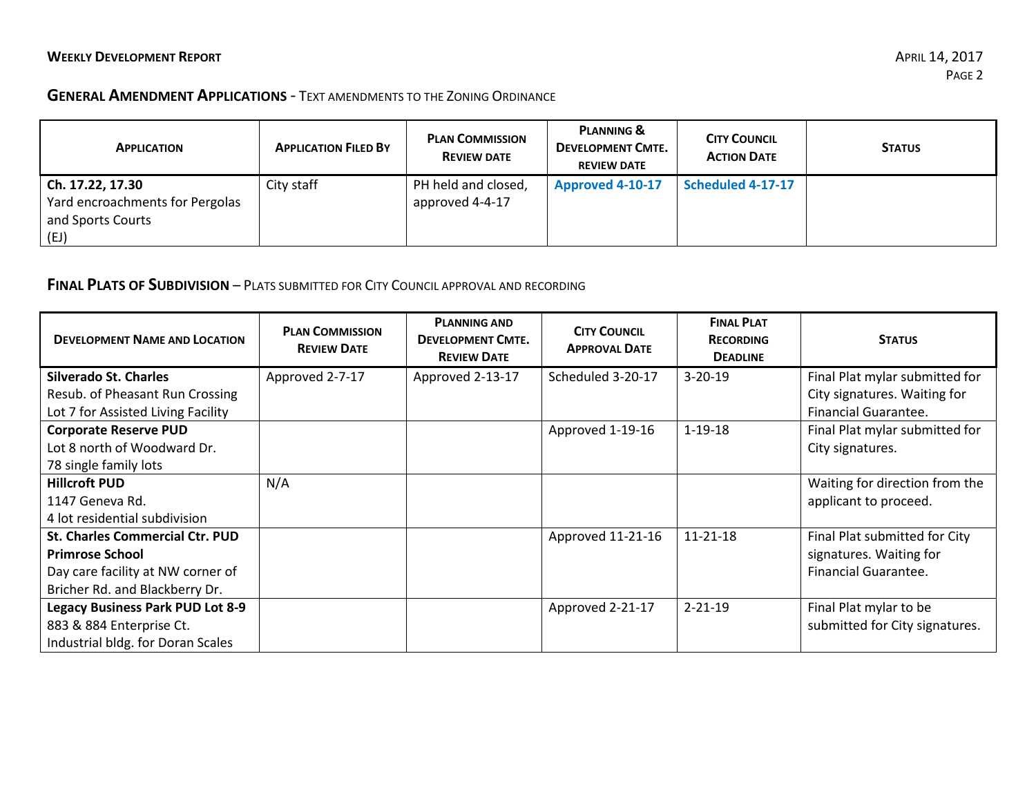#### **GENERAL AMENDMENT APPLICATIONS** - TEXT AMENDMENTS TO THE ZONING ORDINANCE

| <b>APPLICATION</b>                                                               | <b>APPLICATION FILED BY</b> | <b>PLAN COMMISSION</b><br><b>REVIEW DATE</b> | <b>PLANNING &amp;</b><br><b>DEVELOPMENT CMTE.</b><br><b>REVIEW DATE</b> | <b>CITY COUNCIL</b><br><b>ACTION DATE</b> | <b>STATUS</b> |
|----------------------------------------------------------------------------------|-----------------------------|----------------------------------------------|-------------------------------------------------------------------------|-------------------------------------------|---------------|
| Ch. 17.22, 17.30<br>Yard encroachments for Pergolas<br>and Sports Courts<br>(EJ) | City staff                  | PH held and closed,<br>approved 4-4-17       | Approved 4-10-17                                                        | Scheduled 4-17-17                         |               |

## **FINAL PLATS OF SUBDIVISION** – PLATS SUBMITTED FOR CITY COUNCIL APPROVAL AND RECORDING

| <b>DEVELOPMENT NAME AND LOCATION</b>                                                 | <b>PLAN COMMISSION</b><br><b>REVIEW DATE</b> | <b>PLANNING AND</b><br><b>DEVELOPMENT CMTE.</b><br><b>REVIEW DATE</b> | <b>CITY COUNCIL</b><br><b>APPROVAL DATE</b> | <b>FINAL PLAT</b><br><b>RECORDING</b><br><b>DEADLINE</b> | <b>STATUS</b>                                                  |
|--------------------------------------------------------------------------------------|----------------------------------------------|-----------------------------------------------------------------------|---------------------------------------------|----------------------------------------------------------|----------------------------------------------------------------|
| <b>Silverado St. Charles</b><br>Resub. of Pheasant Run Crossing                      | Approved 2-7-17                              | Approved 2-13-17                                                      | Scheduled 3-20-17                           | $3 - 20 - 19$                                            | Final Plat mylar submitted for<br>City signatures. Waiting for |
| Lot 7 for Assisted Living Facility                                                   |                                              |                                                                       |                                             |                                                          | <b>Financial Guarantee.</b>                                    |
| <b>Corporate Reserve PUD</b><br>Lot 8 north of Woodward Dr.<br>78 single family lots |                                              |                                                                       | Approved 1-19-16                            | $1 - 19 - 18$                                            | Final Plat mylar submitted for<br>City signatures.             |
| <b>Hillcroft PUD</b>                                                                 | N/A                                          |                                                                       |                                             |                                                          | Waiting for direction from the                                 |
| 1147 Geneva Rd.                                                                      |                                              |                                                                       |                                             |                                                          | applicant to proceed.                                          |
| 4 lot residential subdivision                                                        |                                              |                                                                       |                                             |                                                          |                                                                |
| <b>St. Charles Commercial Ctr. PUD</b>                                               |                                              |                                                                       | Approved 11-21-16                           | 11-21-18                                                 | Final Plat submitted for City                                  |
| <b>Primrose School</b>                                                               |                                              |                                                                       |                                             |                                                          | signatures. Waiting for                                        |
| Day care facility at NW corner of                                                    |                                              |                                                                       |                                             |                                                          | Financial Guarantee.                                           |
| Bricher Rd. and Blackberry Dr.                                                       |                                              |                                                                       |                                             |                                                          |                                                                |
| <b>Legacy Business Park PUD Lot 8-9</b>                                              |                                              |                                                                       | Approved 2-21-17                            | $2 - 21 - 19$                                            | Final Plat mylar to be                                         |
| 883 & 884 Enterprise Ct.                                                             |                                              |                                                                       |                                             |                                                          | submitted for City signatures.                                 |
| Industrial bldg. for Doran Scales                                                    |                                              |                                                                       |                                             |                                                          |                                                                |